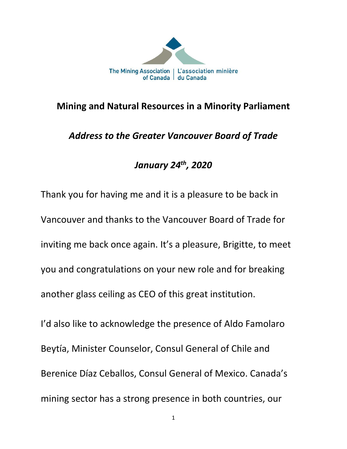

## **Mining and Natural Resources in a Minority Parliament**

# *Address to the Greater Vancouver Board of Trade*

# *January 24th, 2020*

Thank you for having me and it is a pleasure to be back in Vancouver and thanks to the Vancouver Board of Trade for inviting me back once again. It's a pleasure, Brigitte, to meet you and congratulations on your new role and for breaking another glass ceiling as CEO of this great institution. I'd also like to acknowledge the presence of Aldo Famolaro Beytía, Minister Counselor, Consul General of Chile and Berenice Díaz Ceballos, Consul General of Mexico. Canada's

mining sector has a strong presence in both countries, our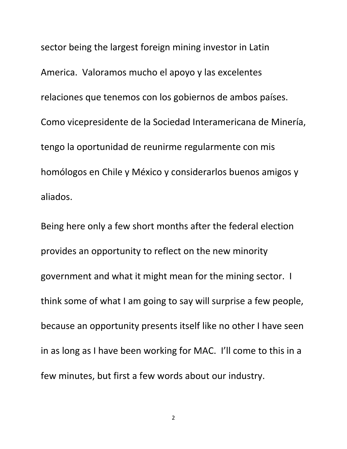sector being the largest foreign mining investor in Latin America. Valoramos mucho el apoyo y las excelentes relaciones que tenemos con los gobiernos de ambos países. Como vicepresidente de la Sociedad Interamericana de Minería, tengo la oportunidad de reunirme regularmente con mis homólogos en Chile y México y considerarlos buenos amigos y aliados.

Being here only a few short months after the federal election provides an opportunity to reflect on the new minority government and what it might mean for the mining sector. I think some of what I am going to say will surprise a few people, because an opportunity presents itself like no other I have seen in as long as I have been working for MAC. I'll come to this in a few minutes, but first a few words about our industry.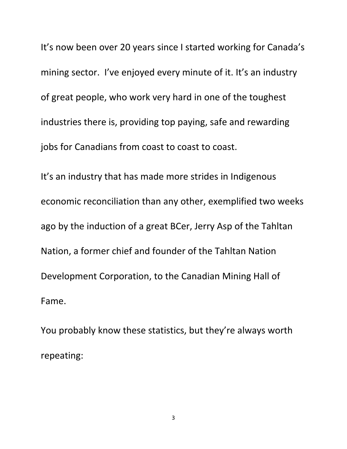It's now been over 20 years since I started working for Canada's mining sector. I've enjoyed every minute of it. It's an industry of great people, who work very hard in one of the toughest industries there is, providing top paying, safe and rewarding jobs for Canadians from coast to coast to coast.

It's an industry that has made more strides in Indigenous economic reconciliation than any other, exemplified two weeks ago by the induction of a great BCer, Jerry Asp of the Tahltan Nation, a former chief and founder of the Tahltan Nation Development Corporation, to the Canadian Mining Hall of Fame.

You probably know these statistics, but they're always worth repeating:

3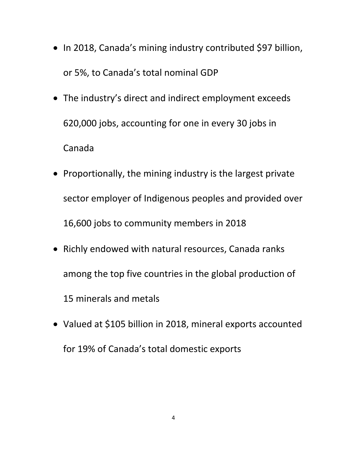- In 2018, Canada's mining industry contributed \$97 billion, or 5%, to Canada's total nominal GDP
- The industry's direct and indirect employment exceeds 620,000 jobs, accounting for one in every 30 jobs in Canada
- Proportionally, the mining industry is the largest private sector employer of Indigenous peoples and provided over 16,600 jobs to community members in 2018
- Richly endowed with natural resources, Canada ranks among the top five countries in the global production of 15 minerals and metals
- Valued at \$105 billion in 2018, mineral exports accounted for 19% of Canada's total domestic exports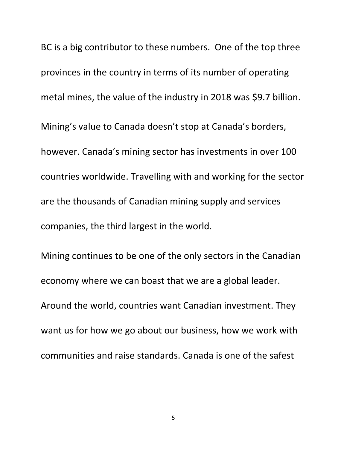BC is a big contributor to these numbers. One of the top three provinces in the country in terms of its number of operating metal mines, the value of the industry in 2018 was \$9.7 billion. Mining's value to Canada doesn't stop at Canada's borders, however. Canada's mining sector has investments in over 100 countries worldwide. Travelling with and working for the sector are the thousands of Canadian mining supply and services companies, the third largest in the world.

Mining continues to be one of the only sectors in the Canadian economy where we can boast that we are a global leader. Around the world, countries want Canadian investment. They want us for how we go about our business, how we work with communities and raise standards. Canada is one of the safest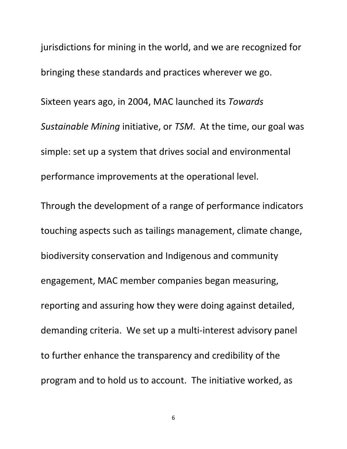jurisdictions for mining in the world, and we are recognized for bringing these standards and practices wherever we go. Sixteen years ago, in 2004, MAC launched its *Towards Sustainable Mining* initiative, or *TSM*. At the time, our goal was simple: set up a system that drives social and environmental performance improvements at the operational level.

Through the development of a range of performance indicators touching aspects such as tailings management, climate change, biodiversity conservation and Indigenous and community engagement, MAC member companies began measuring, reporting and assuring how they were doing against detailed, demanding criteria. We set up a multi-interest advisory panel to further enhance the transparency and credibility of the program and to hold us to account. The initiative worked, as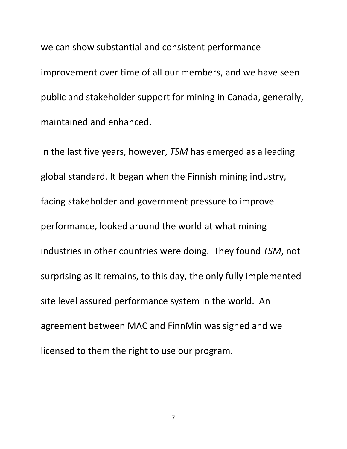we can show substantial and consistent performance improvement over time of all our members, and we have seen public and stakeholder support for mining in Canada, generally, maintained and enhanced.

In the last five years, however, *TSM* has emerged as a leading global standard. It began when the Finnish mining industry, facing stakeholder and government pressure to improve performance, looked around the world at what mining industries in other countries were doing. They found *TSM*, not surprising as it remains, to this day, the only fully implemented site level assured performance system in the world. An agreement between MAC and FinnMin was signed and we licensed to them the right to use our program.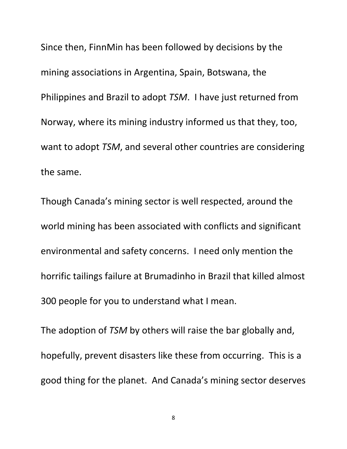Since then, FinnMin has been followed by decisions by the mining associations in Argentina, Spain, Botswana, the Philippines and Brazil to adopt *TSM*. I have just returned from Norway, where its mining industry informed us that they, too, want to adopt *TSM*, and several other countries are considering the same.

Though Canada's mining sector is well respected, around the world mining has been associated with conflicts and significant environmental and safety concerns. I need only mention the horrific tailings failure at Brumadinho in Brazil that killed almost 300 people for you to understand what I mean.

The adoption of *TSM* by others will raise the bar globally and, hopefully, prevent disasters like these from occurring. This is a good thing for the planet. And Canada's mining sector deserves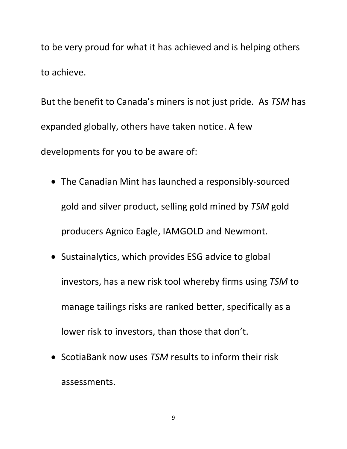to be very proud for what it has achieved and is helping others to achieve.

But the benefit to Canada's miners is not just pride. As *TSM* has expanded globally, others have taken notice. A few developments for you to be aware of:

- The Canadian Mint has launched a responsibly-sourced gold and silver product, selling gold mined by *TSM* gold producers Agnico Eagle, IAMGOLD and Newmont.
- Sustainalytics, which provides ESG advice to global investors, has a new risk tool whereby firms using *TSM* to manage tailings risks are ranked better, specifically as a lower risk to investors, than those that don't.
- ScotiaBank now uses *TSM* results to inform their risk assessments.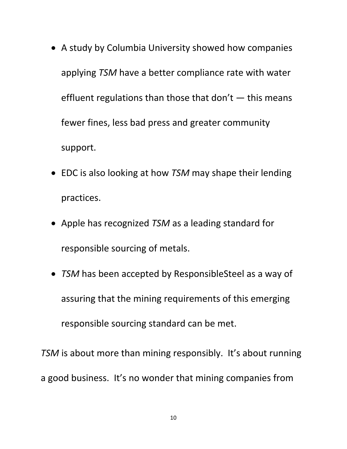- A study by Columbia University showed how companies applying *TSM* have a better compliance rate with water effluent regulations than those that don't  $-$  this means fewer fines, less bad press and greater community support.
- EDC is also looking at how *TSM* may shape their lending practices.
- Apple has recognized *TSM* as a leading standard for responsible sourcing of metals.
- *TSM* has been accepted by ResponsibleSteel as a way of assuring that the mining requirements of this emerging responsible sourcing standard can be met.

*TSM* is about more than mining responsibly. It's about running a good business. It's no wonder that mining companies from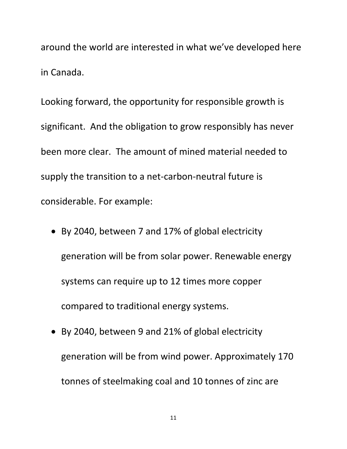around the world are interested in what we've developed here in Canada.

Looking forward, the opportunity for responsible growth is significant. And the obligation to grow responsibly has never been more clear. The amount of mined material needed to supply the transition to a net-carbon-neutral future is considerable. For example:

- By 2040, between 7 and 17% of global electricity generation will be from solar power. Renewable energy systems can require up to 12 times more copper compared to traditional energy systems.
- By 2040, between 9 and 21% of global electricity generation will be from wind power. Approximately 170 tonnes of steelmaking coal and 10 tonnes of zinc are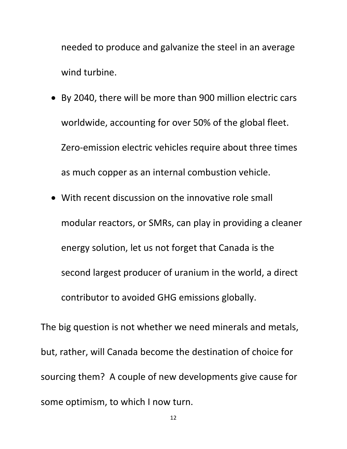needed to produce and galvanize the steel in an average wind turbine.

- By 2040, there will be more than 900 million electric cars worldwide, accounting for over 50% of the global fleet. Zero-emission electric vehicles require about three times as much copper as an internal combustion vehicle.
- With recent discussion on the innovative role small modular reactors, or SMRs, can play in providing a cleaner energy solution, let us not forget that Canada is the second largest producer of uranium in the world, a direct contributor to avoided GHG emissions globally.

The big question is not whether we need minerals and metals, but, rather, will Canada become the destination of choice for sourcing them? A couple of new developments give cause for some optimism, to which I now turn.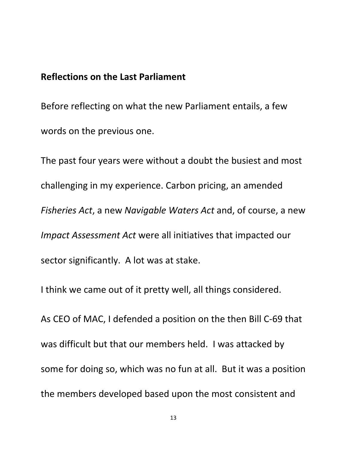### **Reflections on the Last Parliament**

Before reflecting on what the new Parliament entails, a few words on the previous one.

The past four years were without a doubt the busiest and most challenging in my experience. Carbon pricing, an amended *Fisheries Act*, a new *Navigable Waters Act* and, of course, a new *Impact Assessment Act* were all initiatives that impacted our sector significantly. A lot was at stake.

I think we came out of it pretty well, all things considered.

As CEO of MAC, I defended a position on the then Bill C-69 that was difficult but that our members held. I was attacked by some for doing so, which was no fun at all. But it was a position the members developed based upon the most consistent and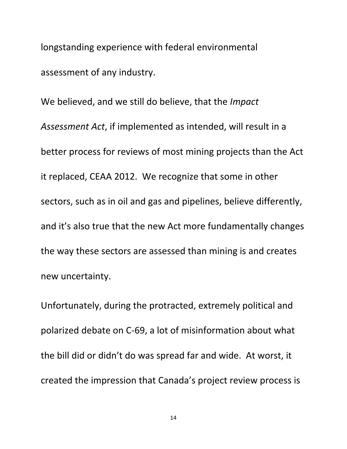longstanding experience with federal environmental assessment of any industry.

We believed, and we still do believe, that the *Impact Assessment Act*, if implemented as intended, will result in a better process for reviews of most mining projects than the Act it replaced, CEAA 2012. We recognize that some in other sectors, such as in oil and gas and pipelines, believe differently, and it's also true that the new Act more fundamentally changes the way these sectors are assessed than mining is and creates new uncertainty.

Unfortunately, during the protracted, extremely political and polarized debate on C-69, a lot of misinformation about what the bill did or didn't do was spread far and wide. At worst, it created the impression that Canada's project review process is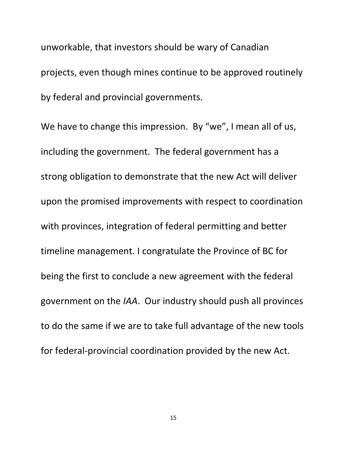unworkable, that investors should be wary of Canadian projects, even though mines continue to be approved routinely by federal and provincial governments.

We have to change this impression. By "we", I mean all of us, including the government. The federal government has a strong obligation to demonstrate that the new Act will deliver upon the promised improvements with respect to coordination with provinces, integration of federal permitting and better timeline management. I congratulate the Province of BC for being the first to conclude a new agreement with the federal government on the *IAA*. Our industry should push all provinces to do the same if we are to take full advantage of the new tools for federal-provincial coordination provided by the new Act.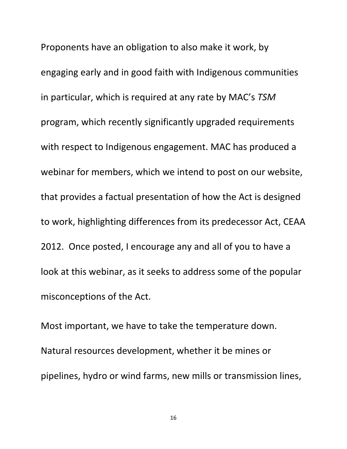Proponents have an obligation to also make it work, by engaging early and in good faith with Indigenous communities in particular, which is required at any rate by MAC's *TSM* program, which recently significantly upgraded requirements with respect to Indigenous engagement. MAC has produced a webinar for members, which we intend to post on our website, that provides a factual presentation of how the Act is designed to work, highlighting differences from its predecessor Act, CEAA 2012. Once posted, I encourage any and all of you to have a look at this webinar, as it seeks to address some of the popular misconceptions of the Act.

Most important, we have to take the temperature down. Natural resources development, whether it be mines or pipelines, hydro or wind farms, new mills or transmission lines,

16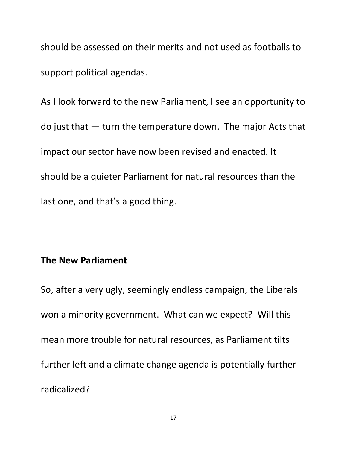should be assessed on their merits and not used as footballs to support political agendas.

As I look forward to the new Parliament, I see an opportunity to do just that — turn the temperature down. The major Acts that impact our sector have now been revised and enacted. It should be a quieter Parliament for natural resources than the last one, and that's a good thing.

#### **The New Parliament**

So, after a very ugly, seemingly endless campaign, the Liberals won a minority government. What can we expect? Will this mean more trouble for natural resources, as Parliament tilts further left and a climate change agenda is potentially further radicalized?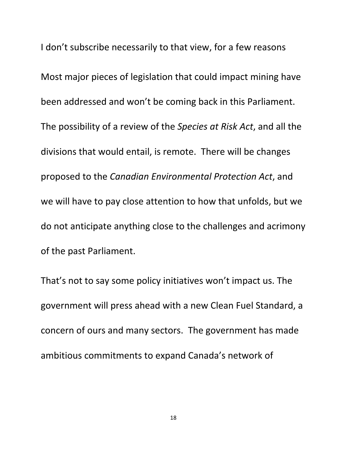I don't subscribe necessarily to that view, for a few reasons Most major pieces of legislation that could impact mining have been addressed and won't be coming back in this Parliament. The possibility of a review of the *Species at Risk Act*, and all the divisions that would entail, is remote. There will be changes proposed to the *Canadian Environmental Protection Act*, and we will have to pay close attention to how that unfolds, but we do not anticipate anything close to the challenges and acrimony of the past Parliament.

That's not to say some policy initiatives won't impact us. The government will press ahead with a new Clean Fuel Standard, a concern of ours and many sectors. The government has made ambitious commitments to expand Canada's network of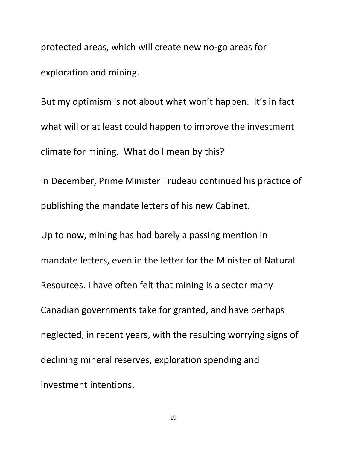protected areas, which will create new no-go areas for exploration and mining.

But my optimism is not about what won't happen. It's in fact what will or at least could happen to improve the investment climate for mining. What do I mean by this?

In December, Prime Minister Trudeau continued his practice of publishing the mandate letters of his new Cabinet.

Up to now, mining has had barely a passing mention in mandate letters, even in the letter for the Minister of Natural Resources. I have often felt that mining is a sector many Canadian governments take for granted, and have perhaps neglected, in recent years, with the resulting worrying signs of declining mineral reserves, exploration spending and investment intentions.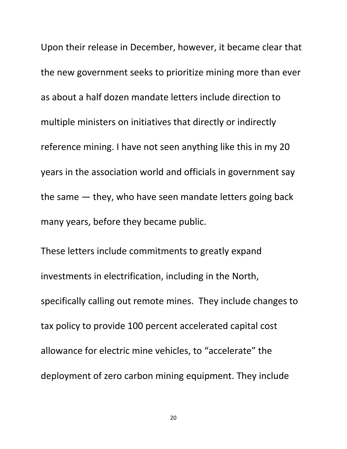Upon their release in December, however, it became clear that the new government seeks to prioritize mining more than ever as about a half dozen mandate letters include direction to multiple ministers on initiatives that directly or indirectly reference mining. I have not seen anything like this in my 20 years in the association world and officials in government say the same — they, who have seen mandate letters going back many years, before they became public.

These letters include commitments to greatly expand investments in electrification, including in the North, specifically calling out remote mines. They include changes to tax policy to provide 100 percent accelerated capital cost allowance for electric mine vehicles, to "accelerate" the deployment of zero carbon mining equipment. They include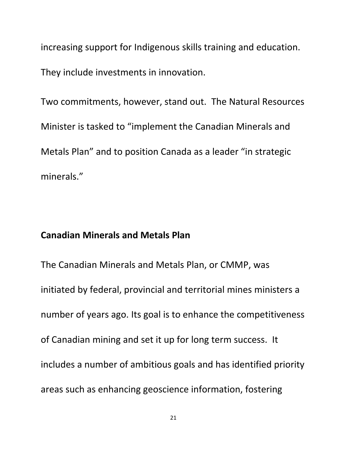increasing support for Indigenous skills training and education. They include investments in innovation.

Two commitments, however, stand out. The Natural Resources Minister is tasked to "implement the Canadian Minerals and Metals Plan" and to position Canada as a leader "in strategic minerals."

#### **Canadian Minerals and Metals Plan**

The Canadian Minerals and Metals Plan, or CMMP, was initiated by federal, provincial and territorial mines ministers a number of years ago. Its goal is to enhance the competitiveness of Canadian mining and set it up for long term success. It includes a number of ambitious goals and has identified priority areas such as enhancing geoscience information, fostering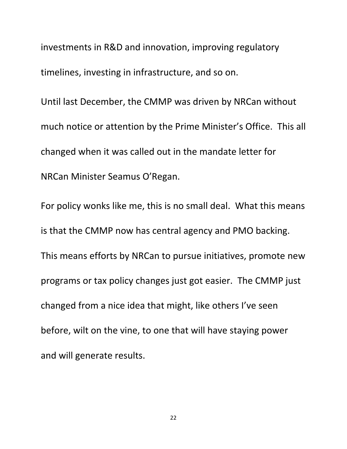investments in R&D and innovation, improving regulatory timelines, investing in infrastructure, and so on.

Until last December, the CMMP was driven by NRCan without much notice or attention by the Prime Minister's Office. This all changed when it was called out in the mandate letter for NRCan Minister Seamus O'Regan.

For policy wonks like me, this is no small deal. What this means is that the CMMP now has central agency and PMO backing. This means efforts by NRCan to pursue initiatives, promote new programs or tax policy changes just got easier. The CMMP just changed from a nice idea that might, like others I've seen before, wilt on the vine, to one that will have staying power and will generate results.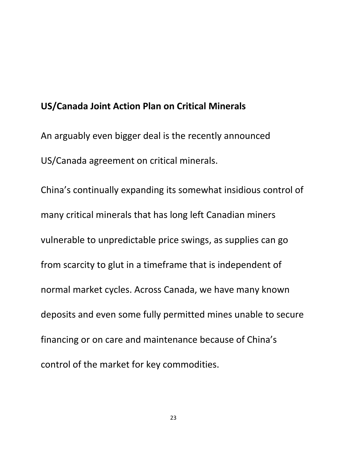### **US/Canada Joint Action Plan on Critical Minerals**

An arguably even bigger deal is the recently announced US/Canada agreement on critical minerals.

China's continually expanding its somewhat insidious control of many critical minerals that has long left Canadian miners vulnerable to unpredictable price swings, as supplies can go from scarcity to glut in a timeframe that is independent of normal market cycles. Across Canada, we have many known deposits and even some fully permitted mines unable to secure financing or on care and maintenance because of China's control of the market for key commodities.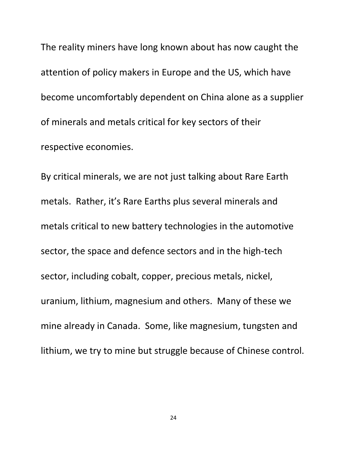The reality miners have long known about has now caught the attention of policy makers in Europe and the US, which have become uncomfortably dependent on China alone as a supplier of minerals and metals critical for key sectors of their respective economies.

By critical minerals, we are not just talking about Rare Earth metals. Rather, it's Rare Earths plus several minerals and metals critical to new battery technologies in the automotive sector, the space and defence sectors and in the high-tech sector, including cobalt, copper, precious metals, nickel, uranium, lithium, magnesium and others. Many of these we mine already in Canada. Some, like magnesium, tungsten and lithium, we try to mine but struggle because of Chinese control.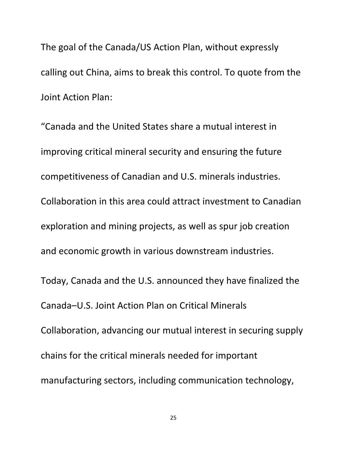The goal of the Canada/US Action Plan, without expressly calling out China, aims to break this control. To quote from the Joint Action Plan:

"Canada and the United States share a mutual interest in improving critical mineral security and ensuring the future competitiveness of Canadian and U.S. minerals industries. Collaboration in this area could attract investment to Canadian exploration and mining projects, as well as spur job creation and economic growth in various downstream industries. Today, Canada and the U.S. announced they have finalized the Canada–U.S. Joint Action Plan on Critical Minerals Collaboration, advancing our mutual interest in securing supply chains for the critical minerals needed for important

manufacturing sectors, including communication technology,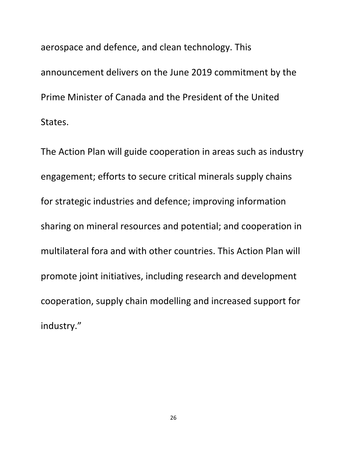aerospace and defence, and clean technology. This announcement delivers on the June 2019 commitment by the Prime Minister of Canada and the President of the United States.

The Action Plan will guide cooperation in areas such as industry engagement; efforts to secure critical minerals supply chains for strategic industries and defence; improving information sharing on mineral resources and potential; and cooperation in multilateral fora and with other countries. This Action Plan will promote joint initiatives, including research and development cooperation, supply chain modelling and increased support for industry."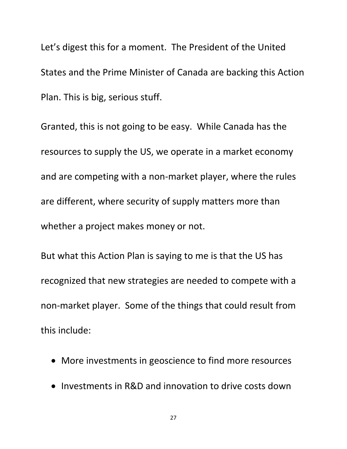Let's digest this for a moment. The President of the United States and the Prime Minister of Canada are backing this Action Plan. This is big, serious stuff.

Granted, this is not going to be easy. While Canada has the resources to supply the US, we operate in a market economy and are competing with a non-market player, where the rules are different, where security of supply matters more than whether a project makes money or not.

But what this Action Plan is saying to me is that the US has recognized that new strategies are needed to compete with a non-market player. Some of the things that could result from this include:

- More investments in geoscience to find more resources
- Investments in R&D and innovation to drive costs down

27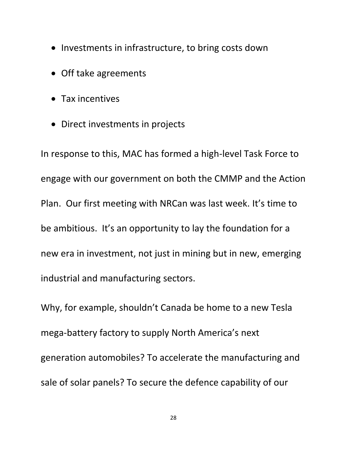- Investments in infrastructure, to bring costs down
- Off take agreements
- Tax incentives
- Direct investments in projects

In response to this, MAC has formed a high-level Task Force to engage with our government on both the CMMP and the Action Plan. Our first meeting with NRCan was last week. It's time to be ambitious. It's an opportunity to lay the foundation for a new era in investment, not just in mining but in new, emerging industrial and manufacturing sectors.

Why, for example, shouldn't Canada be home to a new Tesla mega-battery factory to supply North America's next generation automobiles? To accelerate the manufacturing and sale of solar panels? To secure the defence capability of our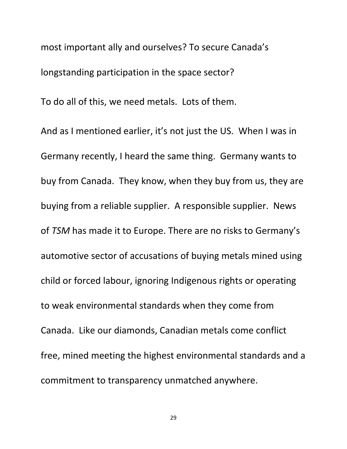most important ally and ourselves? To secure Canada's longstanding participation in the space sector?

To do all of this, we need metals. Lots of them.

And as I mentioned earlier, it's not just the US. When I was in Germany recently, I heard the same thing. Germany wants to buy from Canada. They know, when they buy from us, they are buying from a reliable supplier. A responsible supplier. News of *TSM* has made it to Europe. There are no risks to Germany's automotive sector of accusations of buying metals mined using child or forced labour, ignoring Indigenous rights or operating to weak environmental standards when they come from Canada. Like our diamonds, Canadian metals come conflict free, mined meeting the highest environmental standards and a commitment to transparency unmatched anywhere.

29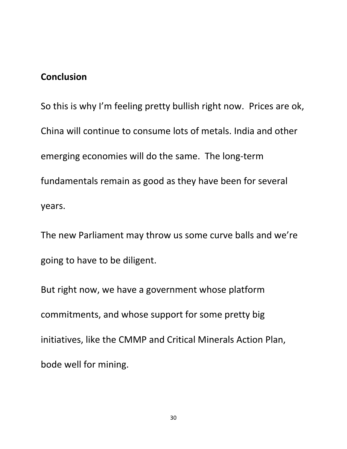## **Conclusion**

So this is why I'm feeling pretty bullish right now. Prices are ok, China will continue to consume lots of metals. India and other emerging economies will do the same. The long-term fundamentals remain as good as they have been for several years.

The new Parliament may throw us some curve balls and we're going to have to be diligent.

But right now, we have a government whose platform commitments, and whose support for some pretty big initiatives, like the CMMP and Critical Minerals Action Plan, bode well for mining.